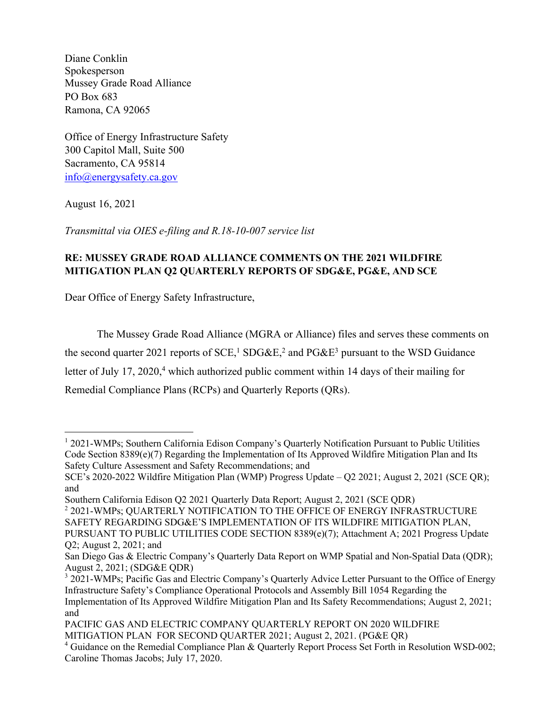Diane Conklin Spokesperson Mussey Grade Road Alliance PO Box 683 Ramona, CA 92065

Office of Energy Infrastructure Safety 300 Capitol Mall, Suite 500 Sacramento, CA 95814 info@energysafety.ca.gov

August 16, 2021

*Transmittal via OIES e-filing and R.18-10-007 service list*

## **RE: MUSSEY GRADE ROAD ALLIANCE COMMENTS ON THE 2021 WILDFIRE MITIGATION PLAN Q2 QUARTERLY REPORTS OF SDG&E, PG&E, AND SCE**

Dear Office of Energy Safety Infrastructure,

The Mussey Grade Road Alliance (MGRA or Alliance) files and serves these comments on the second quarter 2021 reports of SCE,<sup>1</sup> SDG&E,<sup>2</sup> and PG&E<sup>3</sup> pursuant to the WSD Guidance letter of July 17, 2020,<sup>4</sup> which authorized public comment within 14 days of their mailing for Remedial Compliance Plans (RCPs) and Quarterly Reports (QRs).

<sup>2</sup> 2021-WMPs; QUARTERLY NOTIFICATION TO THE OFFICE OF ENERGY INFRASTRUCTURE SAFETY REGARDING SDG&E'S IMPLEMENTATION OF ITS WILDFIRE MITIGATION PLAN, PURSUANT TO PUBLIC UTILITIES CODE SECTION 8389(e)(7); Attachment A; 2021 Progress Update Q2; August 2, 2021; and

<sup>1</sup> 2021-WMPs; Southern California Edison Company's Quarterly Notification Pursuant to Public Utilities Code Section  $8389(e)(7)$  Regarding the Implementation of Its Approved Wildfire Mitigation Plan and Its Safety Culture Assessment and Safety Recommendations; and

SCE's 2020-2022 Wildfire Mitigation Plan (WMP) Progress Update – Q2 2021; August 2, 2021 (SCE QR); and

Southern California Edison Q2 2021 Quarterly Data Report; August 2, 2021 (SCE QDR)

San Diego Gas & Electric Company's Quarterly Data Report on WMP Spatial and Non‐Spatial Data (QDR); August 2, 2021; (SDG&E QDR)

<sup>&</sup>lt;sup>3</sup> 2021-WMPs; Pacific Gas and Electric Company's Quarterly Advice Letter Pursuant to the Office of Energy Infrastructure Safety's Compliance Operational Protocols and Assembly Bill 1054 Regarding the Implementation of Its Approved Wildfire Mitigation Plan and Its Safety Recommendations; August 2, 2021;

and PACIFIC GAS AND ELECTRIC COMPANY QUARTERLY REPORT ON 2020 WILDFIRE

MITIGATION PLAN FOR SECOND QUARTER 2021; August 2, 2021. (PG&E QR)

<sup>4</sup> Guidance on the Remedial Compliance Plan & Quarterly Report Process Set Forth in Resolution WSD-002; Caroline Thomas Jacobs; July 17, 2020.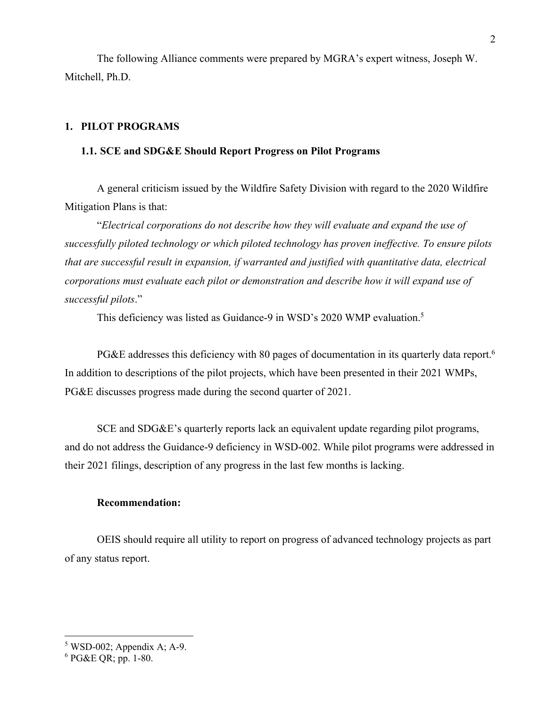The following Alliance comments were prepared by MGRA's expert witness, Joseph W. Mitchell, Ph.D.

## **1. PILOT PROGRAMS**

## **1.1. SCE and SDG&E Should Report Progress on Pilot Programs**

A general criticism issued by the Wildfire Safety Division with regard to the 2020 Wildfire Mitigation Plans is that:

"*Electrical corporations do not describe how they will evaluate and expand the use of successfully piloted technology or which piloted technology has proven ineffective. To ensure pilots that are successful result in expansion, if warranted and justified with quantitative data, electrical corporations must evaluate each pilot or demonstration and describe how it will expand use of successful pilots*."

This deficiency was listed as Guidance-9 in WSD's 2020 WMP evaluation.<sup>5</sup>

PG&E addresses this deficiency with 80 pages of documentation in its quarterly data report.<sup>6</sup> In addition to descriptions of the pilot projects, which have been presented in their 2021 WMPs, PG&E discusses progress made during the second quarter of 2021.

SCE and SDG&E's quarterly reports lack an equivalent update regarding pilot programs, and do not address the Guidance-9 deficiency in WSD-002. While pilot programs were addressed in their 2021 filings, description of any progress in the last few months is lacking.

#### **Recommendation:**

OEIS should require all utility to report on progress of advanced technology projects as part of any status report.

 $5$  WSD-002; Appendix A; A-9.

 $6$  PG&E OR; pp. 1-80.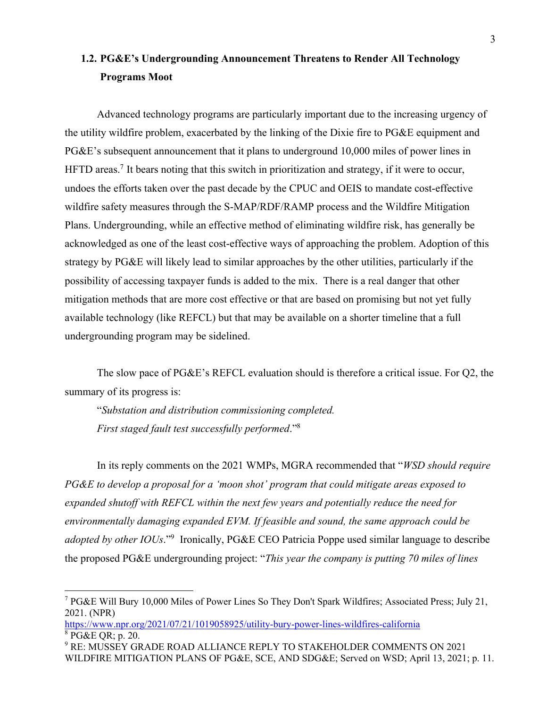# **1.2. PG&E's Undergrounding Announcement Threatens to Render All Technology Programs Moot**

Advanced technology programs are particularly important due to the increasing urgency of the utility wildfire problem, exacerbated by the linking of the Dixie fire to PG&E equipment and PG&E's subsequent announcement that it plans to underground 10,000 miles of power lines in HFTD areas.<sup>7</sup> It bears noting that this switch in prioritization and strategy, if it were to occur, undoes the efforts taken over the past decade by the CPUC and OEIS to mandate cost-effective wildfire safety measures through the S-MAP/RDF/RAMP process and the Wildfire Mitigation Plans. Undergrounding, while an effective method of eliminating wildfire risk, has generally be acknowledged as one of the least cost-effective ways of approaching the problem. Adoption of this strategy by PG&E will likely lead to similar approaches by the other utilities, particularly if the possibility of accessing taxpayer funds is added to the mix. There is a real danger that other mitigation methods that are more cost effective or that are based on promising but not yet fully available technology (like REFCL) but that may be available on a shorter timeline that a full undergrounding program may be sidelined.

The slow pace of PG&E's REFCL evaluation should is therefore a critical issue. For Q2, the summary of its progress is:

"*Substation and distribution commissioning completed. First staged fault test successfully performed*."<sup>8</sup>

In its reply comments on the 2021 WMPs, MGRA recommended that "*WSD should require PG&E to develop a proposal for a 'moon shot' program that could mitigate areas exposed to expanded shutoff with REFCL within the next few years and potentially reduce the need for environmentally damaging expanded EVM. If feasible and sound, the same approach could be adopted by other IOUs*."<sup>9</sup> Ironically, PG&E CEO Patricia Poppe used similar language to describe the proposed PG&E undergrounding project: "*This year the company is putting 70 miles of lines* 

<sup>7</sup> PG&E Will Bury 10,000 Miles of Power Lines So They Don't Spark Wildfires; Associated Press; July 21, 2021. (NPR)

https://www.npr.org/2021/07/21/1019058925/utility-bury-power-lines-wildfires-california  $8$  PG&E QR; p. 20.

<sup>&</sup>lt;sup>9</sup> RE: MUSSEY GRADE ROAD ALLIANCE REPLY TO STAKEHOLDER COMMENTS ON 2021 WILDFIRE MITIGATION PLANS OF PG&E, SCE, AND SDG&E; Served on WSD; April 13, 2021; p. 11.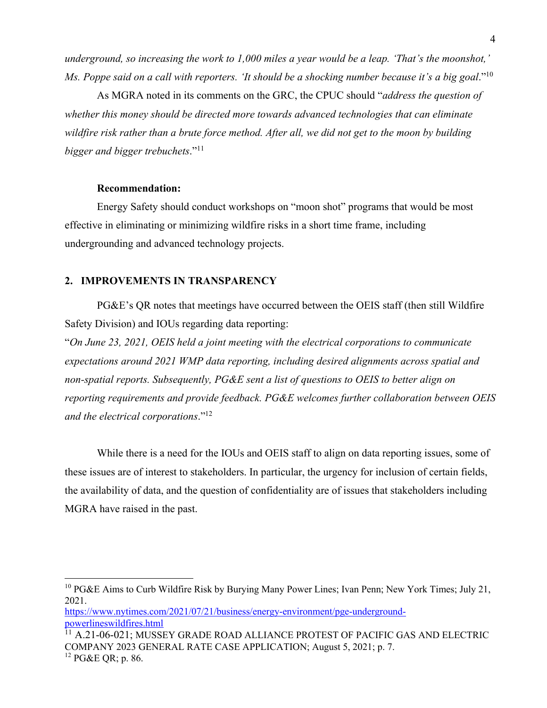*underground, so increasing the work to 1,000 miles a year would be a leap. 'That's the moonshot,' Ms. Poppe said on a call with reporters. 'It should be a shocking number because it's a big goal*."<sup>10</sup>

As MGRA noted in its comments on the GRC, the CPUC should "*address the question of whether this money should be directed more towards advanced technologies that can eliminate wildfire risk rather than a brute force method. After all, we did not get to the moon by building bigger and bigger trebuchets*."<sup>11</sup>

#### **Recommendation:**

Energy Safety should conduct workshops on "moon shot" programs that would be most effective in eliminating or minimizing wildfire risks in a short time frame, including undergrounding and advanced technology projects.

## **2. IMPROVEMENTS IN TRANSPARENCY**

PG&E's QR notes that meetings have occurred between the OEIS staff (then still Wildfire Safety Division) and IOUs regarding data reporting:

"*On June 23, 2021, OEIS held a joint meeting with the electrical corporations to communicate expectations around 2021 WMP data reporting, including desired alignments across spatial and non-spatial reports. Subsequently, PG&E sent a list of questions to OEIS to better align on reporting requirements and provide feedback. PG&E welcomes further collaboration between OEIS and the electrical corporations*."<sup>12</sup>

While there is a need for the IOUs and OEIS staff to align on data reporting issues, some of these issues are of interest to stakeholders. In particular, the urgency for inclusion of certain fields, the availability of data, and the question of confidentiality are of issues that stakeholders including MGRA have raised in the past.

<sup>&</sup>lt;sup>10</sup> PG&E Aims to Curb Wildfire Risk by Burying Many Power Lines; Ivan Penn; New York Times; July 21, 2021.

https://www.nytimes.com/2021/07/21/business/energy-environment/pge-undergroundpowerlineswildfires.html

<sup>11</sup> A.21-06-021; MUSSEY GRADE ROAD ALLIANCE PROTEST OF PACIFIC GAS AND ELECTRIC COMPANY 2023 GENERAL RATE CASE APPLICATION; August 5, 2021; p. 7.  $12$  PG&E OR; p. 86.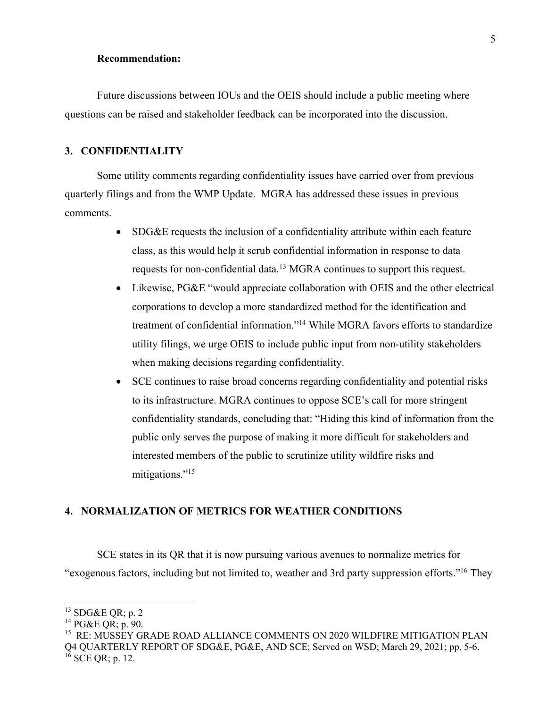## **Recommendation:**

Future discussions between IOUs and the OEIS should include a public meeting where questions can be raised and stakeholder feedback can be incorporated into the discussion.

#### **3. CONFIDENTIALITY**

Some utility comments regarding confidentiality issues have carried over from previous quarterly filings and from the WMP Update. MGRA has addressed these issues in previous comments.

- SDG&E requests the inclusion of a confidentiality attribute within each feature class, as this would help it scrub confidential information in response to data requests for non-confidential data.<sup>13</sup> MGRA continues to support this request.
- Likewise, PG&E "would appreciate collaboration with OEIS and the other electrical corporations to develop a more standardized method for the identification and treatment of confidential information."<sup>14</sup> While MGRA favors efforts to standardize utility filings, we urge OEIS to include public input from non-utility stakeholders when making decisions regarding confidentiality.
- SCE continues to raise broad concerns regarding confidentiality and potential risks to its infrastructure. MGRA continues to oppose SCE's call for more stringent confidentiality standards, concluding that: "Hiding this kind of information from the public only serves the purpose of making it more difficult for stakeholders and interested members of the public to scrutinize utility wildfire risks and mitigations."<sup>15</sup>

## **4. NORMALIZATION OF METRICS FOR WEATHER CONDITIONS**

SCE states in its QR that it is now pursuing various avenues to normalize metrics for "exogenous factors, including but not limited to, weather and 3rd party suppression efforts."<sup>16</sup> They

 $13$  SDG&E QR; p. 2

 $14$  PG&E QR; p. 90.

<sup>&</sup>lt;sup>15</sup> RE: MUSSEY GRADE ROAD ALLIANCE COMMENTS ON 2020 WILDFIRE MITIGATION PLAN Q4 QUARTERLY REPORT OF SDG&E, PG&E, AND SCE; Served on WSD; March 29, 2021; pp. 5-6.  $^{16}$  SCE QR; p. 12.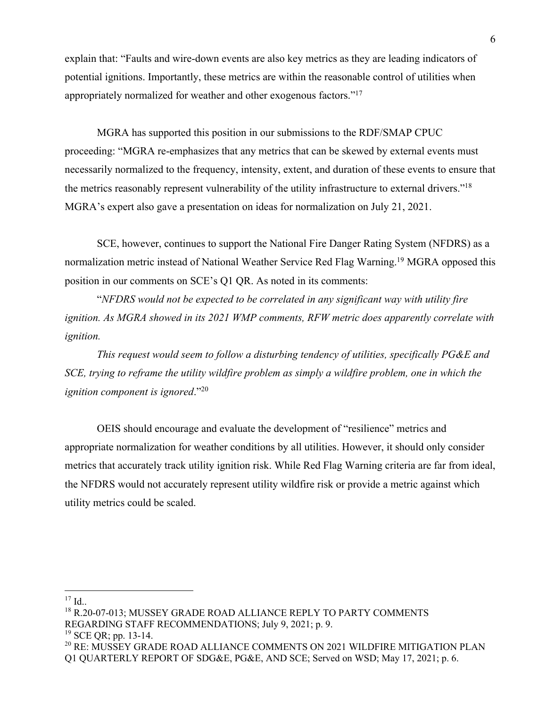explain that: "Faults and wire-down events are also key metrics as they are leading indicators of potential ignitions. Importantly, these metrics are within the reasonable control of utilities when appropriately normalized for weather and other exogenous factors."<sup>17</sup>

MGRA has supported this position in our submissions to the RDF/SMAP CPUC proceeding: "MGRA re-emphasizes that any metrics that can be skewed by external events must necessarily normalized to the frequency, intensity, extent, and duration of these events to ensure that the metrics reasonably represent vulnerability of the utility infrastructure to external drivers."<sup>18</sup> MGRA's expert also gave a presentation on ideas for normalization on July 21, 2021.

SCE, however, continues to support the National Fire Danger Rating System (NFDRS) as a normalization metric instead of National Weather Service Red Flag Warning. <sup>19</sup> MGRA opposed this position in our comments on SCE's Q1 QR. As noted in its comments:

"*NFDRS would not be expected to be correlated in any significant way with utility fire ignition. As MGRA showed in its 2021 WMP comments, RFW metric does apparently correlate with ignition.*

*This request would seem to follow a disturbing tendency of utilities, specifically PG&E and SCE, trying to reframe the utility wildfire problem as simply a wildfire problem, one in which the ignition component is ignored*."<sup>20</sup>

OEIS should encourage and evaluate the development of "resilience" metrics and appropriate normalization for weather conditions by all utilities. However, it should only consider metrics that accurately track utility ignition risk. While Red Flag Warning criteria are far from ideal, the NFDRS would not accurately represent utility wildfire risk or provide a metric against which utility metrics could be scaled.

 $17$  Id..

<sup>&</sup>lt;sup>18</sup> R.20-07-013; MUSSEY GRADE ROAD ALLIANCE REPLY TO PARTY COMMENTS REGARDING STAFF RECOMMENDATIONS; July 9, 2021; p. 9.

 $19$  SCE QR; pp. 13-14.

<sup>&</sup>lt;sup>20</sup> RE: MUSSEY GRADE ROAD ALLIANCE COMMENTS ON 2021 WILDFIRE MITIGATION PLAN Q1 QUARTERLY REPORT OF SDG&E, PG&E, AND SCE; Served on WSD; May 17, 2021; p. 6.